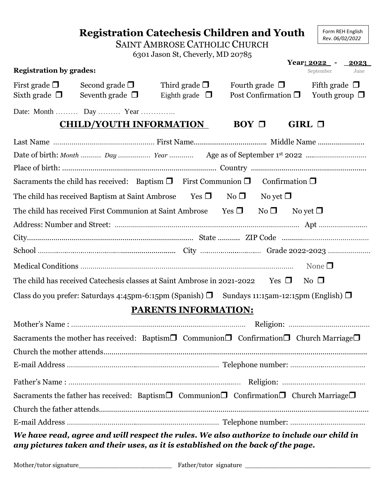|                                                                                                                                                                               |                                                                                                                                                                                                                                                                                                   | <b>SAINT AMBROSE CATHOLIC CHURCH</b><br>6301 Jason St, Cheverly, MD 20785 | <b>Registration Catechesis Children and Youth</b>                                                              | Form REH English<br>Rev. 06/02/2022<br>Year: $2022 - 2023$ |  |
|-------------------------------------------------------------------------------------------------------------------------------------------------------------------------------|---------------------------------------------------------------------------------------------------------------------------------------------------------------------------------------------------------------------------------------------------------------------------------------------------|---------------------------------------------------------------------------|----------------------------------------------------------------------------------------------------------------|------------------------------------------------------------|--|
| <b>Registration by grades:</b>                                                                                                                                                |                                                                                                                                                                                                                                                                                                   |                                                                           |                                                                                                                | September<br>June                                          |  |
| First grade $\Box$<br>Sixth grade $\Box$                                                                                                                                      | Second grade $\square$<br>Seventh grade $\Box$                                                                                                                                                                                                                                                    | Third grade $\Box$<br>Eighth grade $\Box$                                 | Fourth grade $\square$<br>Post Confirmation $\Box$                                                             | Fifth grade $\Box$<br>Youth group $\Box$                   |  |
|                                                                                                                                                                               | Date: Month  Day  Year                                                                                                                                                                                                                                                                            |                                                                           |                                                                                                                |                                                            |  |
| <b>CHILD/YOUTH INFORMATION</b><br>$BOY \Box$<br>GIRL $\Box$                                                                                                                   |                                                                                                                                                                                                                                                                                                   |                                                                           |                                                                                                                |                                                            |  |
|                                                                                                                                                                               | Sacraments the child has received: Baptism $\Box$ First Communion $\Box$<br>The child has received Baptism at Saint Ambrose Yes $\Box$ No $\Box$<br>The child has received First Communion at Saint Ambrose<br>The child has received Catechesis classes at Saint Ambrose in 2021-2022 Yes $\Box$ |                                                                           | Confirmation $\square$<br>No yet $\Box$<br>Yes $\Box$<br>$No \Box$<br>No yet $\Box$                            | None $\square$<br>$\rm No$ $\Box$                          |  |
| Class do you prefer: Saturdays 4:45pm-6:15pm (Spanish) $\Box$ Sundays 11:15am-12:15pm (English) $\Box$<br><b>PARENTS INFORMATION:</b>                                         |                                                                                                                                                                                                                                                                                                   |                                                                           |                                                                                                                |                                                            |  |
|                                                                                                                                                                               |                                                                                                                                                                                                                                                                                                   |                                                                           |                                                                                                                |                                                            |  |
|                                                                                                                                                                               |                                                                                                                                                                                                                                                                                                   |                                                                           | Sacraments the mother has received: Baptism $\Box$ Communion $\Box$ Confirmation $\Box$ Church Marriage $\Box$ |                                                            |  |
|                                                                                                                                                                               |                                                                                                                                                                                                                                                                                                   |                                                                           |                                                                                                                |                                                            |  |
|                                                                                                                                                                               |                                                                                                                                                                                                                                                                                                   |                                                                           |                                                                                                                |                                                            |  |
|                                                                                                                                                                               |                                                                                                                                                                                                                                                                                                   |                                                                           |                                                                                                                |                                                            |  |
| Sacraments the father has received: Baptism $\Box$ Communion $\Box$ Confirmation $\Box$ Church Marriage $\Box$                                                                |                                                                                                                                                                                                                                                                                                   |                                                                           |                                                                                                                |                                                            |  |
|                                                                                                                                                                               |                                                                                                                                                                                                                                                                                                   |                                                                           |                                                                                                                |                                                            |  |
|                                                                                                                                                                               |                                                                                                                                                                                                                                                                                                   |                                                                           |                                                                                                                |                                                            |  |
| We have read, agree and will respect the rules. We also authorize to include our child in<br>any pictures taken and their uses, as it is established on the back of the page. |                                                                                                                                                                                                                                                                                                   |                                                                           |                                                                                                                |                                                            |  |

Mother/tutor signature\_\_\_\_\_\_\_\_\_\_\_\_\_\_\_\_\_\_\_\_\_\_\_ Father/tutor signature \_\_\_\_\_\_\_\_\_\_\_\_\_\_\_\_\_\_\_\_\_\_\_\_\_\_\_\_\_\_\_